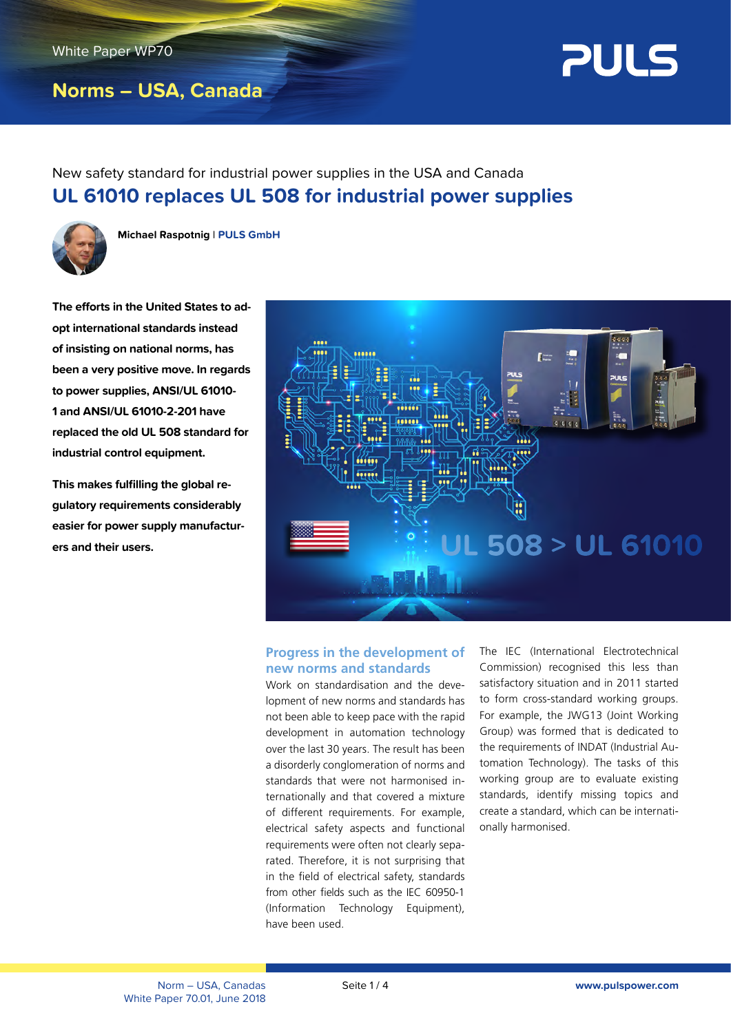# **Norms – USA, Canada**



New safety standard for industrial power supplies in the USA and Canada **UL 61010 replaces UL 508 for industrial power supplies**



**Michael Raspotnig** l **PULS GmbH**

**The efforts in the United States to adopt international standards instead of insisting on national norms, has been a very positive move. In regards to power supplies, ANSI/UL 61010- 1 and ANSI/UL 61010-2-201 have replaced the old UL 508 standard for industrial control equipment.** 

**This makes fulfilling the global regulatory requirements considerably easier for power supply manufacturers and their users.**



# **Progress in the development of new norms and standards**

Work on standardisation and the development of new norms and standards has not been able to keep pace with the rapid development in automation technology over the last 30 years. The result has been a disorderly conglomeration of norms and standards that were not harmonised internationally and that covered a mixture of different requirements. For example, electrical safety aspects and functional requirements were often not clearly separated. Therefore, it is not surprising that in the field of electrical safety, standards from other fields such as the IEC 60950-1 (Information Technology Equipment), have been used.

The IEC (International Electrotechnical Commission) recognised this less than satisfactory situation and in 2011 started to form cross-standard working groups. For example, the JWG13 (Joint Working Group) was formed that is dedicated to the requirements of INDAT (Industrial Automation Technology). The tasks of this working group are to evaluate existing standards, identify missing topics and create a standard, which can be internationally harmonised.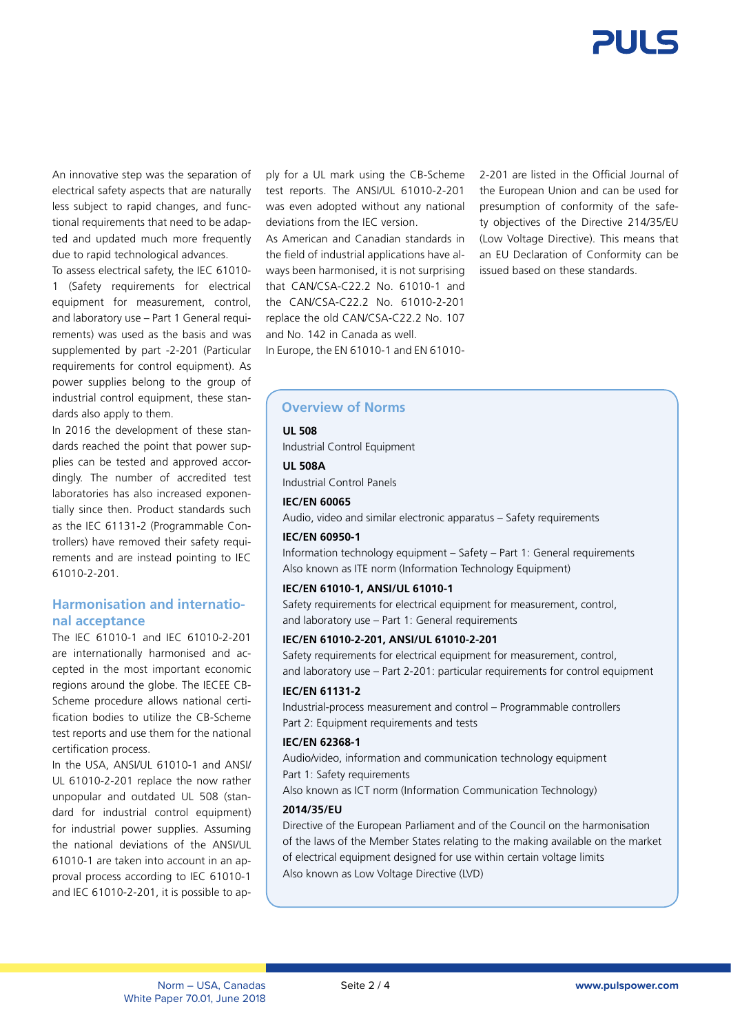

An innovative step was the separation of electrical safety aspects that are naturally less subject to rapid changes, and functional requirements that need to be adapted and updated much more frequently due to rapid technological advances.

To assess electrical safety, the IEC 61010- 1 (Safety requirements for electrical equipment for measurement, control, and laboratory use – Part 1 General requirements) was used as the basis and was supplemented by part -2-201 (Particular requirements for control equipment). As power supplies belong to the group of industrial control equipment, these standards also apply to them.

In 2016 the development of these standards reached the point that power supplies can be tested and approved accordingly. The number of accredited test laboratories has also increased exponentially since then. Product standards such as the IEC 61131-2 (Programmable Controllers) have removed their safety requirements and are instead pointing to IEC 61010-2-201.

# **Harmonisation and international acceptance**

The IEC 61010-1 and IEC 61010-2-201 are internationally harmonised and accepted in the most important economic regions around the globe. The IECEE CB-Scheme procedure allows national certification bodies to utilize the CB-Scheme test reports and use them for the national certification process.

In the USA, ANSI/UL 61010-1 and ANSI/ UL 61010-2-201 replace the now rather unpopular and outdated UL 508 (standard for industrial control equipment) for industrial power supplies. Assuming the national deviations of the ANSI/UL 61010-1 are taken into account in an approval process according to IEC 61010-1 and IEC 61010-2-201, it is possible to ap-

ply for a UL mark using the CB-Scheme test reports. The ANSI/UL 61010-2-201 was even adopted without any national deviations from the IEC version.

As American and Canadian standards in the field of industrial applications have always been harmonised, it is not surprising that CAN/CSA-C22.2 No. 61010-1 and the CAN/CSA-C22.2 No. 61010-2-201 replace the old CAN/CSA-C22.2 No. 107 and No. 142 in Canada as well. In Europe, the EN 61010-1 and EN 61010-

2-201 are listed in the Official Journal of the European Union and can be used for presumption of conformity of the safety objectives of the Directive 214/35/EU (Low Voltage Directive). This means that an EU Declaration of Conformity can be issued based on these standards.

# **Overview of Norms**

**UL 508**

Industrial Control Equipment

**UL 508A**

Industrial Control Panels

**IEC/EN 60065** 

Audio, video and similar electronic apparatus – Safety requirements

#### **IEC/EN 60950-1**

Information technology equipment – Safety – Part 1: General requirements Also known as ITE norm (Information Technology Equipment)

#### **IEC/EN 61010-1, ANSI/UL 61010-1**

Safety requirements for electrical equipment for measurement, control, and laboratory use – Part 1: General requirements

#### **IEC/EN 61010-2-201, ANSI/UL 61010-2-201**

Safety requirements for electrical equipment for measurement, control, and laboratory use – Part 2-201: particular requirements for control equipment

### **IEC/EN 61131-2**

Industrial-process measurement and control – Programmable controllers Part 2: Equipment requirements and tests

#### **IEC/EN 62368-1**

Audio/video, information and communication technology equipment Part 1: Safety requirements

Also known as ICT norm (Information Communication Technology)

### **2014/35/EU**

Directive of the European Parliament and of the Council on the harmonisation of the laws of the Member States relating to the making available on the market of electrical equipment designed for use within certain voltage limits Also known as Low Voltage Directive (LVD)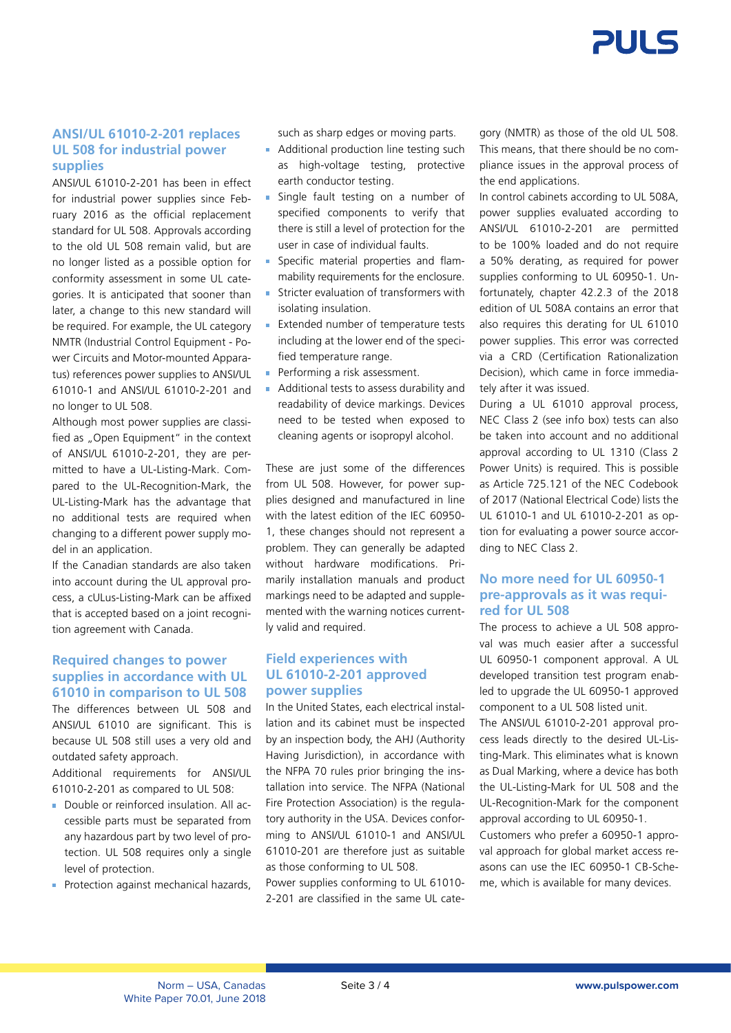

### **ANSI/UL 61010-2-201 replaces UL 508 for industrial power supplies**

ANSI/UL 61010-2-201 has been in effect for industrial power supplies since February 2016 as the official replacement standard for UL 508. Approvals according to the old UL 508 remain valid, but are no longer listed as a possible option for conformity assessment in some UL categories. It is anticipated that sooner than later, a change to this new standard will be required. For example, the UL category NMTR (Industrial Control Equipment - Power Circuits and Motor-mounted Apparatus) references power supplies to ANSI/UL 61010-1 and ANSI/UL 61010-2-201 and no longer to UL 508.

Although most power supplies are classified as .. Open Equipment" in the context of ANSI/UL 61010-2-201, they are permitted to have a UL-Listing-Mark. Compared to the UL-Recognition-Mark, the UL-Listing-Mark has the advantage that no additional tests are required when changing to a different power supply model in an application.

If the Canadian standards are also taken into account during the UL approval process, a cULus-Listing-Mark can be affixed that is accepted based on a joint recognition agreement with Canada.

### **Required changes to power supplies in accordance with UL 61010 in comparison to UL 508**

The differences between UL 508 and ANSI/UL 61010 are significant. This is because UL 508 still uses a very old and outdated safety approach.

Additional requirements for ANSI/UL 61010-2-201 as compared to UL 508:

- Double or reinforced insulation. All accessible parts must be separated from any hazardous part by two level of protection. UL 508 requires only a single level of protection.
- **Protection against mechanical hazards,**

such as sharp edges or moving parts.

- **Additional production line testing such** as high-voltage testing, protective earth conductor testing.
- **Single fault testing on a number of** specified components to verify that there is still a level of protection for the user in case of individual faults.
- **Specific material properties and flam**mability requirements for the enclosure.
- **Stricter evaluation of transformers with** isolating insulation.
- **Extended number of temperature tests** including at the lower end of the specified temperature range.
- **Performing a risk assessment.**
- **Additional tests to assess durability and** readability of device markings. Devices need to be tested when exposed to cleaning agents or isopropyl alcohol.

These are just some of the differences from UL 508. However, for power supplies designed and manufactured in line with the latest edition of the IEC 60950- 1, these changes should not represent a problem. They can generally be adapted without hardware modifications. Primarily installation manuals and product markings need to be adapted and supplemented with the warning notices currently valid and required.

### **Field experiences with UL 61010-2-201 approved power supplies**

In the United States, each electrical installation and its cabinet must be inspected by an inspection body, the AHJ (Authority Having Jurisdiction), in accordance with the NFPA 70 rules prior bringing the installation into service. The NFPA (National Fire Protection Association) is the regulatory authority in the USA. Devices conforming to ANSI/UL 61010-1 and ANSI/UL 61010-201 are therefore just as suitable as those conforming to UL 508.

Power supplies conforming to UL 61010- 2-201 are classified in the same UL category (NMTR) as those of the old UL 508. This means, that there should be no compliance issues in the approval process of the end applications.

In control cabinets according to UL 508A, power supplies evaluated according to ANSI/UL 61010-2-201 are permitted to be 100% loaded and do not require a 50% derating, as required for power supplies conforming to UL 60950-1. Unfortunately, chapter 42.2.3 of the 2018 edition of UL 508A contains an error that also requires this derating for UL 61010 power supplies. This error was corrected via a CRD (Certification Rationalization Decision), which came in force immediately after it was issued.

During a UL 61010 approval process, NEC Class 2 (see info box) tests can also be taken into account and no additional approval according to UL 1310 (Class 2 Power Units) is required. This is possible as Article 725.121 of the NEC Codebook of 2017 (National Electrical Code) lists the UL 61010-1 and UL 61010-2-201 as option for evaluating a power source according to NEC Class 2.

## **No more need for UL 60950-1 pre-approvals as it was required for UL 508**

The process to achieve a UL 508 approval was much easier after a successful UL 60950-1 component approval. A UL developed transition test program enabled to upgrade the UL 60950-1 approved component to a UL 508 listed unit.

The ANSI/UL 61010-2-201 approval process leads directly to the desired UL-Listing-Mark. This eliminates what is known as Dual Marking, where a device has both the UL-Listing-Mark for UL 508 and the UL-Recognition-Mark for the component approval according to UL 60950-1.

Customers who prefer a 60950-1 approval approach for global market access reasons can use the IEC 60950-1 CB-Scheme, which is available for many devices.